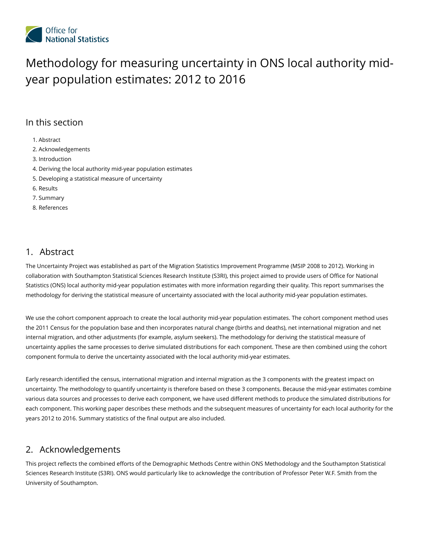

# Methodology for measuring uncertainty in ONS local authority midyear population estimates: 2012 to 2016

## In this section

1. [Abstract](#page-0-0)

- 2. [Acknowledgements](#page-0-1)
- 3. [Introduction](#page-1-0)
- 4. Deriving the local authority mid-year [population](#page-2-0) estimates
- 5. Developing a statistical measure of [uncertainty](#page-3-0)
- 6. [Results](#page-17-0)
- 7. [Summary](#page-21-0)
- 8. [References](#page-22-0)

## <span id="page-0-0"></span>Abstract 1.

The Uncertainty Project was established as part of the Migration Statistics Improvement Programme (MSIP 2008 to 2012). Working in collaboration with Southampton Statistical Sciences Research Institute (S3RI), this project aimed to provide users of Office for National Statistics (ONS) local authority mid-year population estimates with more information regarding their quality. This report summarises the methodology for deriving the statistical measure of uncertainty associated with the local authority mid-year population estimates.

We use the cohort component approach to create the local authority mid-year population estimates. The cohort component method uses the 2011 Census for the population base and then incorporates natural change (births and deaths), net international migration and net internal migration, and other adjustments (for example, asylum seekers). The methodology for deriving the statistical measure of uncertainty applies the same processes to derive simulated distributions for each component. These are then combined using the cohort component formula to derive the uncertainty associated with the local authority mid-year estimates.

Early research identified the census, international migration and internal migration as the 3 components with the greatest impact on uncertainty. The methodology to quantify uncertainty is therefore based on these 3 components. Because the mid-year estimates combine various data sources and processes to derive each component, we have used different methods to produce the simulated distributions for each component. This working paper describes these methods and the subsequent measures of uncertainty for each local authority for the years 2012 to 2016. Summary statistics of the final output are also included.

## <span id="page-0-1"></span>2. Acknowledgements

This project reflects the combined efforts of the Demographic Methods Centre within ONS Methodology and the Southampton Statistical Sciences Research Institute (S3RI). ONS would particularly like to acknowledge the contribution of Professor Peter W.F. Smith from the University of Southampton.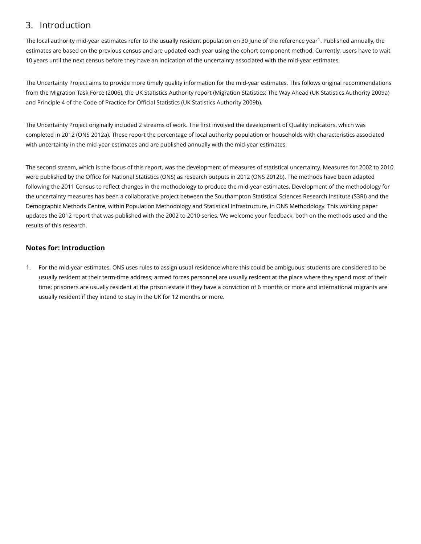## <span id="page-1-0"></span>3. Introduction

The local authority mid-year estimates refer to the usually resident population on 30 June of the reference year<sup>1</sup>. Published annually, the estimates are based on the previous census and are updated each year using the cohort component method. Currently, users have to wait 10 years until the next census before they have an indication of the uncertainty associated with the mid-year estimates.

The Uncertainty Project aims to provide more timely quality information for the mid-year estimates. This follows original recommendations from the Migration Task Force (2006), the UK Statistics Authority report (Migration Statistics: The Way Ahead (UK Statistics Authority 2009a) and Principle 4 of the Code of Practice for Official Statistics (UK Statistics Authority 2009b).

The Uncertainty Project originally included 2 streams of work. The first involved the development of Quality Indicators, which was completed in 2012 (ONS 2012a). These report the percentage of local authority population or households with characteristics associated with uncertainty in the mid-year estimates and are published annually with the mid-year estimates.

The second stream, which is the focus of this report, was the development of measures of statistical uncertainty. Measures for 2002 to 2010 were published by the Office for National Statistics (ONS) as research outputs in 2012 (ONS 2012b). The methods have been adapted following the 2011 Census to reflect changes in the methodology to produce the mid-year estimates. Development of the methodology for the uncertainty measures has been a collaborative project between the Southampton Statistical Sciences Research Institute (S3RI) and the Demographic Methods Centre, within Population Methodology and Statistical Infrastructure, in ONS Methodology. This working paper updates the 2012 report that was published with the 2002 to 2010 series. We welcome your feedback, both on the methods used and the results of this research.

## Notes for: Introduction

1. For the mid-year estimates, ONS uses rules to assign usual residence where this could be ambiguous: students are considered to be usually resident at their term-time address; armed forces personnel are usually resident at the place where they spend most of their time; prisoners are usually resident at the prison estate if they have a conviction of 6 months or more and international migrants are usually resident if they intend to stay in the UK for 12 months or more.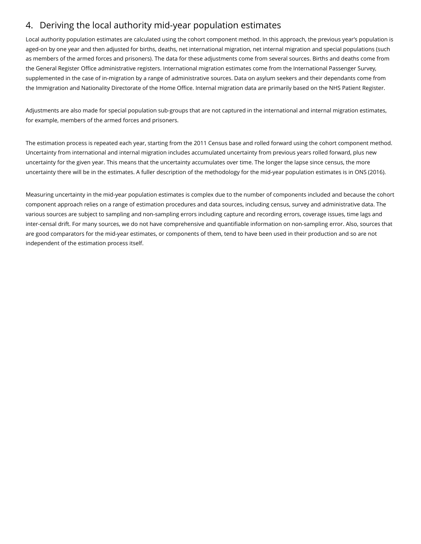## <span id="page-2-0"></span>Deriving the local authority mid-year population estimates 4.

Local authority population estimates are calculated using the cohort component method. In this approach, the previous year's population is aged-on by one year and then adjusted for births, deaths, net international migration, net internal migration and special populations (such as members of the armed forces and prisoners). The data for these adjustments come from several sources. Births and deaths come from the General Register Office administrative registers. International migration estimates come from the International Passenger Survey, supplemented in the case of in-migration by a range of administrative sources. Data on asylum seekers and their dependants come from the Immigration and Nationality Directorate of the Home Office. Internal migration data are primarily based on the NHS Patient Register.

Adjustments are also made for special population sub-groups that are not captured in the international and internal migration estimates, for example, members of the armed forces and prisoners.

The estimation process is repeated each year, starting from the 2011 Census base and rolled forward using the cohort component method. Uncertainty from international and internal migration includes accumulated uncertainty from previous years rolled forward, plus new uncertainty for the given year. This means that the uncertainty accumulates over time. The longer the lapse since census, the more uncertainty there will be in the estimates. A fuller description of the methodology for the mid-year population estimates is in ONS (2016).

Measuring uncertainty in the mid-year population estimates is complex due to the number of components included and because the cohort component approach relies on a range of estimation procedures and data sources, including census, survey and administrative data. The various sources are subject to sampling and non-sampling errors including capture and recording errors, coverage issues, time lags and inter-censal drift. For many sources, we do not have comprehensive and quantifiable information on non-sampling error. Also, sources that are good comparators for the mid-year estimates, or components of them, tend to have been used in their production and so are not independent of the estimation process itself.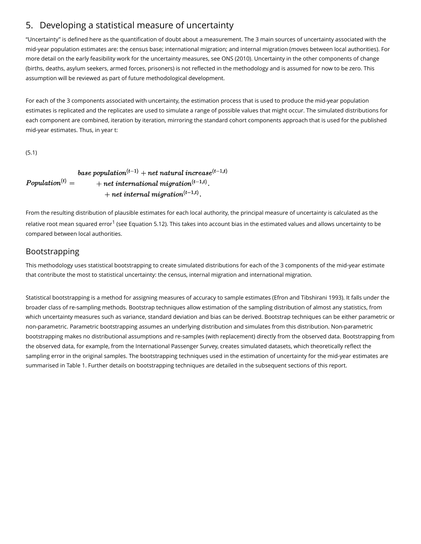## <span id="page-3-0"></span>5. Developing a statistical measure of uncertainty

"Uncertainty" is defined here as the quantification of doubt about a measurement. The 3 main sources of uncertainty associated with the mid-year population estimates are: the census base; international migration; and internal migration (moves between local authorities). For more detail on the early feasibility work for the uncertainty measures, see ONS (2010). Uncertainty in the other components of change (births, deaths, asylum seekers, armed forces, prisoners) is not reflected in the methodology and is assumed for now to be zero. This assumption will be reviewed as part of future methodological development.

For each of the 3 components associated with uncertainty, the estimation process that is used to produce the mid-year population estimates is replicated and the replicates are used to simulate a range of possible values that might occur. The simulated distributions for each component are combined, iteration by iteration, mirroring the standard cohort components approach that is used for the published mid-year estimates. Thus, in year t:

(5.1)

#### base population<sup>(t-1)</sup> + net natural increase<sup>(t-1,t)</sup>  $Population^{(t)} =$  $+$  net international migration<sup>(t-1,t)</sup>.  $+$  net internal migration<sup>(t-1,t)</sup>.

From the resulting distribution of plausible estimates for each local authority, the principal measure of uncertainty is calculated as the relative root mean squared error<sup>1</sup> (see Equation 5.12). This takes into account bias in the estimated values and allows uncertainty to be compared between local authorities.

## Bootstrapping

This methodology uses statistical bootstrapping to create simulated distributions for each of the 3 components of the mid-year estimate that contribute the most to statistical uncertainty: the census, internal migration and international migration.

Statistical bootstrapping is a method for assigning measures of accuracy to sample estimates (Efron and Tibshirani 1993). It falls under the broader class of re-sampling methods. Bootstrap techniques allow estimation of the sampling distribution of almost any statistics, from which uncertainty measures such as variance, standard deviation and bias can be derived. Bootstrap techniques can be either parametric or non-parametric. Parametric bootstrapping assumes an underlying distribution and simulates from this distribution. Non-parametric bootstrapping makes no distributional assumptions and re-samples (with replacement) directly from the observed data. Bootstrapping from the observed data, for example, from the International Passenger Survey, creates simulated datasets, which theoretically reflect the sampling error in the original samples. The bootstrapping techniques used in the estimation of uncertainty for the mid-year estimates are summarised in Table 1. Further details on bootstrapping techniques are detailed in the subsequent sections of this report.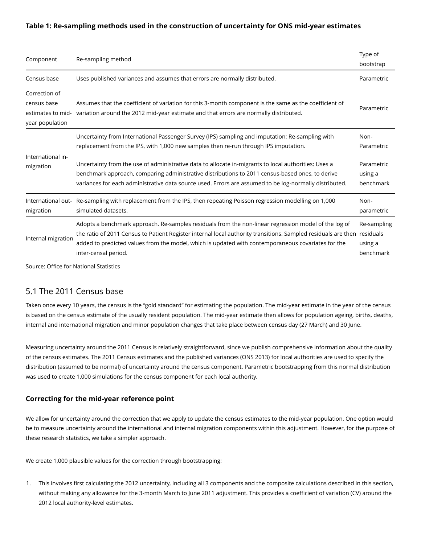#### Table 1: Re-sampling methods used in the construction of uncertainty for ONS mid-year estimates

| Component                                                            | Re-sampling method                                                                                                                                                                                                                                                                                                                                            | Type of<br>bootstrap                |
|----------------------------------------------------------------------|---------------------------------------------------------------------------------------------------------------------------------------------------------------------------------------------------------------------------------------------------------------------------------------------------------------------------------------------------------------|-------------------------------------|
| Census base                                                          | Uses published variances and assumes that errors are normally distributed.                                                                                                                                                                                                                                                                                    | Parametric                          |
| Correction of<br>census base<br>estimates to mid-<br>year population | Assumes that the coefficient of variation for this 3-month component is the same as the coefficient of<br>variation around the 2012 mid-year estimate and that errors are normally distributed.                                                                                                                                                               | Parametric                          |
|                                                                      | Uncertainty from International Passenger Survey (IPS) sampling and imputation: Re-sampling with<br>replacement from the IPS, with 1,000 new samples then re-run through IPS imputation.                                                                                                                                                                       | Non-<br>Parametric                  |
| International in-<br>migration                                       | Uncertainty from the use of administrative data to allocate in-migrants to local authorities: Uses a<br>benchmark approach, comparing administrative distributions to 2011 census-based ones, to derive<br>variances for each administrative data source used. Errors are assumed to be log-normally distributed.                                             | Parametric<br>using a<br>benchmark  |
| International out-<br>migration                                      | Re-sampling with replacement from the IPS, then repeating Poisson regression modelling on 1,000<br>simulated datasets.                                                                                                                                                                                                                                        | Non-<br>parametric                  |
| Internal migration                                                   | Adopts a benchmark approach. Re-samples residuals from the non-linear regression model of the log of<br>the ratio of 2011 Census to Patient Register internal local authority transitions. Sampled residuals are then residuals<br>added to predicted values from the model, which is updated with contemporaneous covariates for the<br>inter-censal period. | Re-sampling<br>using a<br>benchmark |

Source: Office for National Statistics

## 5.1 The 2011 Census base

Taken once every 10 years, the census is the "gold standard" for estimating the population. The mid-year estimate in the year of the census is based on the census estimate of the usually resident population. The mid-year estimate then allows for population ageing, births, deaths, internal and international migration and minor population changes that take place between census day (27 March) and 30 June.

Measuring uncertainty around the 2011 Census is relatively straightforward, since we publish comprehensive information about the quality of the census estimates. The 2011 Census estimates and the published variances (ONS 2013) for local authorities are used to specify the distribution (assumed to be normal) of uncertainty around the census component. Parametric bootstrapping from this normal distribution was used to create 1,000 simulations for the census component for each local authority.

#### Correcting for the mid-year reference point

We allow for uncertainty around the correction that we apply to update the census estimates to the mid-year population. One option would be to measure uncertainty around the international and internal migration components within this adjustment. However, for the purpose of these research statistics, we take a simpler approach.

We create 1,000 plausible values for the correction through bootstrapping:

1. This involves first calculating the 2012 uncertainty, including all 3 components and the composite calculations described in this section, without making any allowance for the 3-month March to June 2011 adjustment. This provides a coefficient of variation (CV) around the 2012 local authority-level estimates.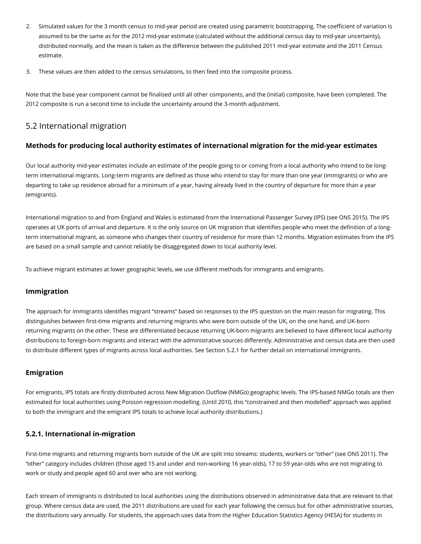- 2. Simulated values for the 3 month census to mid-year period are created using parametric bootstrapping. The coefficient of variation is assumed to be the same as for the 2012 mid-year estimate (calculated without the additional census day to mid-year uncertainty), distributed normally, and the mean is taken as the difference between the published 2011 mid-year estimate and the 2011 Census estimate.
- 3. These values are then added to the census simulations, to then feed into the composite process.

Note that the base year component cannot be finalised until all other components, and the (initial) composite, have been completed. The 2012 composite is run a second time to include the uncertainty around the 3-month adjustment.

## 5.2 International migration

### Methods for producing local authority estimates of international migration for the mid-year estimates

Our local authority mid-year estimates include an estimate of the people going to or coming from a local authority who intend to be longterm international migrants. Long-term migrants are defined as those who intend to stay for more than one year (immigrants) or who are departing to take up residence abroad for a minimum of a year, having already lived in the country of departure for more than a year (emigrants).

International migration to and from England and Wales is estimated from the International Passenger Survey (IPS) (see ONS 2015). The IPS operates at UK ports of arrival and departure. It is the only source on UK migration that identifies people who meet the definition of a longterm international migrant, as someone who changes their country of residence for more than 12 months. Migration estimates from the IPS are based on a small sample and cannot reliably be disaggregated down to local authority level.

To achieve migrant estimates at lower geographic levels, we use different methods for immigrants and emigrants.

#### Immigration

The approach for immigrants identifies migrant "streams" based on responses to the IPS question on the main reason for migrating. This distinguishes between first-time migrants and returning migrants who were born outside of the UK, on the one hand, and UK-born returning migrants on the other. These are differentiated because returning UK-born migrants are believed to have different local authority distributions to foreign-born migrants and interact with the administrative sources differently. Administrative and census data are then used to distribute different types of migrants across local authorities. See Section 5.2.1 for further detail on international immigrants.

### Emigration

For emigrants, IPS totals are firstly distributed across New Migration Outflow (NMGo) geographic levels. The IPS-based NMGo totals are then estimated for local authorities using Poisson regression modelling. (Until 2010, this "constrained and then modelled" approach was applied to both the immigrant and the emigrant IPS totals to achieve local authority distributions.)

### 5.2.1. International in-migration

First-time migrants and returning migrants born outside of the UK are split into streams: students, workers or "other" (see ONS 2011). The "other" category includes children (those aged 15 and under and non-working 16 year-olds), 17 to 59 year-olds who are not migrating to work or study and people aged 60 and over who are not working.

Each stream of immigrants is distributed to local authorities using the distributions observed in administrative data that are relevant to that group. Where census data are used, the 2011 distributions are used for each year following the census but for other administrative sources, the distributions vary annually. For students, the approach uses data from the Higher Education Statistics Agency (HESA) for students in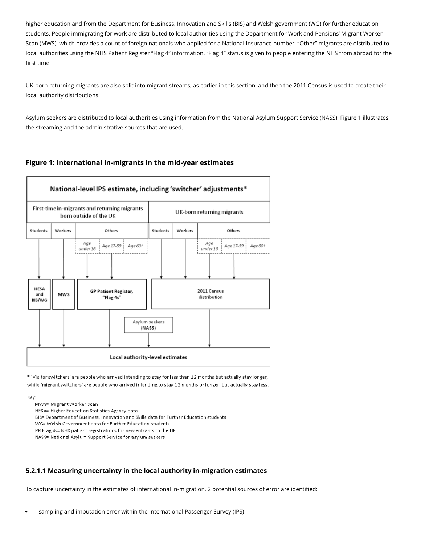higher education and from the Department for Business, Innovation and Skills (BIS) and Welsh government (WG) for further education students. People immigrating for work are distributed to local authorities using the Department for Work and Pensions' Migrant Worker Scan (MWS), which provides a count of foreign nationals who applied for a National Insurance number. "Other" migrants are distributed to local authorities using the NHS Patient Register "Flag 4" information. "Flag 4" status is given to people entering the NHS from abroad for the first time.

UK-born returning migrants are also split into migrant streams, as earlier in this section, and then the 2011 Census is used to create their local authority distributions.

Asylum seekers are distributed to local authorities using information from the National Asylum Support Service (NASS). Figure 1 illustrates the streaming and the administrative sources that are used.

## Figure 1: International in-migrants in the mid-year estimates



\* 'Visitor switchers' are people who arrived intending to stay for less than 12 months but actually stay longer, while 'migrant switchers' are people who arrived intending to stay 12 months or longer, but actually stay less.

Key:

MWS= Migrant Worker Scan

HESA= Higher Education Statistics Agency data

BIS= Department of Business, Innovation and Skills data for Further Education students

WG= Welsh Government data for Further Education students

PR Flag 4s= NHS patient registrations for new entrants to the UK

NASS= National Asylum Support Service for asylum seekers

### 5.2.1.1 Measuring uncertainty in the local authority in-migration estimates

To capture uncertainty in the estimates of international in-migration, 2 potential sources of error are identified:

sampling and imputation error within the International Passenger Survey (IPS)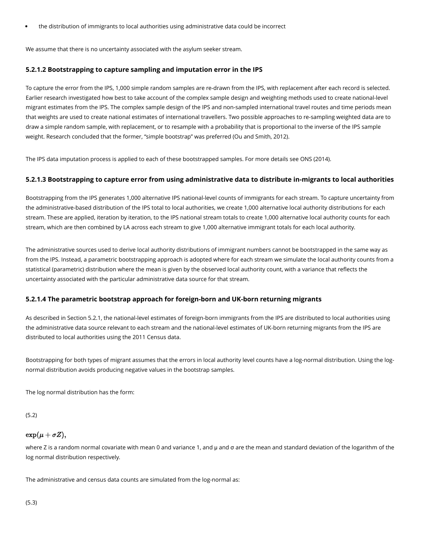the distribution of immigrants to local authorities using administrative data could be incorrect

We assume that there is no uncertainty associated with the asylum seeker stream.

#### 5.2.1.2 Bootstrapping to capture sampling and imputation error in the IPS

To capture the error from the IPS, 1,000 simple random samples are re-drawn from the IPS, with replacement after each record is selected. Earlier research investigated how best to take account of the complex sample design and weighting methods used to create national-level migrant estimates from the IPS. The complex sample design of the IPS and non-sampled international travel routes and time periods mean that weights are used to create national estimates of international travellers. Two possible approaches to re-sampling weighted data are to draw a simple random sample, with replacement, or to resample with a probability that is proportional to the inverse of the IPS sample weight. Research concluded that the former, "simple bootstrap" was preferred (Ou and Smith, 2012).

The IPS data imputation process is applied to each of these bootstrapped samples. For more details see ONS (2014).

#### 5.2.1.3 Bootstrapping to capture error from using administrative data to distribute in-migrants to local authorities

Bootstrapping from the IPS generates 1,000 alternative IPS national-level counts of immigrants for each stream. To capture uncertainty from the administrative-based distribution of the IPS total to local authorities, we create 1,000 alternative local authority distributions for each stream. These are applied, iteration by iteration, to the IPS national stream totals to create 1,000 alternative local authority counts for each stream, which are then combined by LA across each stream to give 1,000 alternative immigrant totals for each local authority.

The administrative sources used to derive local authority distributions of immigrant numbers cannot be bootstrapped in the same way as from the IPS. Instead, a parametric bootstrapping approach is adopted where for each stream we simulate the local authority counts from a statistical (parametric) distribution where the mean is given by the observed local authority count, with a variance that reflects the uncertainty associated with the particular administrative data source for that stream.

#### 5.2.1.4 The parametric bootstrap approach for foreign-born and UK-born returning migrants

As described in Section 5.2.1, the national-level estimates of foreign-born immigrants from the IPS are distributed to local authorities using the administrative data source relevant to each stream and the national-level estimates of UK-born returning migrants from the IPS are distributed to local authorities using the 2011 Census data.

Bootstrapping for both types of migrant assumes that the errors in local authority level counts have a log-normal distribution. Using the lognormal distribution avoids producing negative values in the bootstrap samples.

The log normal distribution has the form:

(5.2)

### $\exp(\mu + \sigma Z),$

where Z is a random normal covariate with mean 0 and variance 1, and μ and σ are the mean and standard deviation of the logarithm of the log normal distribution respectively.

The administrative and census data counts are simulated from the log-normal as: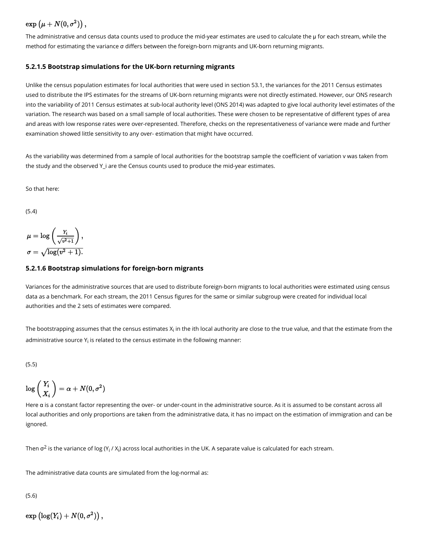## $\exp (\mu + N(0, \sigma^2))$ ,

The administrative and census data counts used to produce the mid-year estimates are used to calculate the μ for each stream, while the method for estimating the variance σ differs between the foreign-born migrants and UK-born returning migrants.

#### 5.2.1.5 Bootstrap simulations for the UK-born returning migrants

Unlike the census population estimates for local authorities that were used in section 53.1, the variances for the 2011 Census estimates used to distribute the IPS estimates for the streams of UK-born returning migrants were not directly estimated. However, our ONS research into the variability of 2011 Census estimates at sub-local authority level (ONS 2014) was adapted to give local authority level estimates of the variation. The research was based on a small sample of local authorities. These were chosen to be representative of different types of area and areas with low response rates were over-represented. Therefore, checks on the representativeness of variance were made and further examination showed little sensitivity to any over- estimation that might have occurred.

As the variability was determined from a sample of local authorities for the bootstrap sample the coefficient of variation v was taken from the study and the observed Y\_i are the Census counts used to produce the mid-year estimates.

So that here:

(5.4)

$$
\mu = \log\left(\frac{Y_i}{\sqrt{v^2+1}}\right),\,
$$
  

$$
\sigma = \sqrt{\log(v^2+1)}.
$$

#### 5.2.1.6 Bootstrap simulations for foreign-born migrants

Variances for the administrative sources that are used to distribute foreign-born migrants to local authorities were estimated using census data as a benchmark. For each stream, the 2011 Census figures for the same or similar subgroup were created for individual local authorities and the 2 sets of estimates were compared.

The bootstrapping assumes that the census estimates  $\boldsymbol{\mathsf{x}}_{\mathsf{i}}$  in the ith local authority are close to the true value, and that the estimate from the administrative source  $\mathsf{Y}_\mathsf{i}$  is related to the census estimate in the following manner:

(5.5)

$$
\log\left(\frac{Y_i}{X_i}\right)=\alpha+N(0,\sigma^2)
$$

Here α is a constant factor representing the over- or under-count in the administrative source. As it is assumed to be constant across all local authorities and only proportions are taken from the administrative data, it has no impact on the estimation of immigration and can be ignored.

Then  $\sigma^2$  is the variance of log (Y<sub>i</sub> / X<sub>i</sub>) across local authorities in the UK. A separate value is calculated for each stream.

The administrative data counts are simulated from the log-normal as:

(5.6)

 $\exp (\log(Y_i) + N(0, \sigma^2))$ ,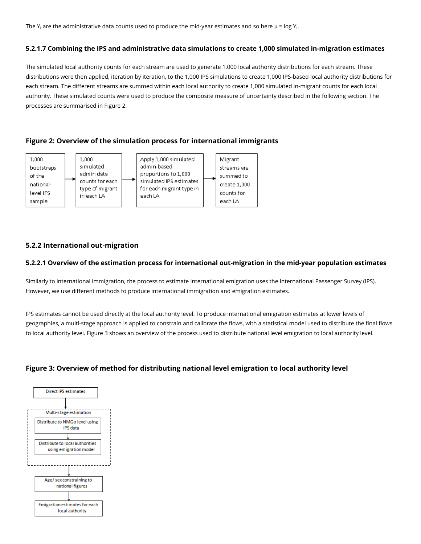The Y<sub>i</sub> are the administrative data counts used to produce the mid-year estimates and so here  $\mu$  = log Y<sub>i</sub>.

#### 5.2.1.7 Combining the IPS and administrative data simulations to create 1,000 simulated in-migration estimates

The simulated local authority counts for each stream are used to generate 1,000 local authority distributions for each stream. These distributions were then applied, iteration by iteration, to the 1,000 IPS simulations to create 1,000 IPS-based local authority distributions for each stream. The different streams are summed within each local authority to create 1,000 simulated in-migrant counts for each local authority. These simulated counts were used to produce the composite measure of uncertainty described in the following section. The processes are summarised in Figure 2.

## Figure 2: Overview of the simulation process for international immigrants



## 5.2.2 International out-migration

#### 5.2.2.1 Overview of the estimation process for international out-migration in the mid-year population estimates

Similarly to international immigration, the process to estimate international emigration uses the International Passenger Survey (IPS). However, we use different methods to produce international immigration and emigration estimates.

IPS estimates cannot be used directly at the local authority level. To produce international emigration estimates at lower levels of geographies, a multi-stage approach is applied to constrain and calibrate the flows, with a statistical model used to distribute the final flows to local authority level. Figure 3 shows an overview of the process used to distribute national level emigration to local authority level.

## Figure 3: Overview of method for distributing national level emigration to local authority level

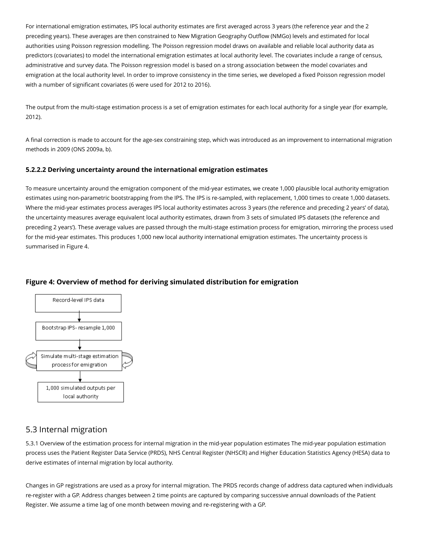For international emigration estimates, IPS local authority estimates are first averaged across 3 years (the reference year and the 2 preceding years). These averages are then constrained to New Migration Geography Outflow (NMGo) levels and estimated for local authorities using Poisson regression modelling. The Poisson regression model draws on available and reliable local authority data as predictors (covariates) to model the international emigration estimates at local authority level. The covariates include a range of census, administrative and survey data. The Poisson regression model is based on a strong association between the model covariates and emigration at the local authority level. In order to improve consistency in the time series, we developed a fixed Poisson regression model with a number of significant covariates (6 were used for 2012 to 2016).

The output from the multi-stage estimation process is a set of emigration estimates for each local authority for a single year (for example, 2012).

A final correction is made to account for the age-sex constraining step, which was introduced as an improvement to international migration methods in 2009 (ONS 2009a, b).

#### 5.2.2.2 Deriving uncertainty around the international emigration estimates

To measure uncertainty around the emigration component of the mid-year estimates, we create 1,000 plausible local authority emigration estimates using non-parametric bootstrapping from the IPS. The IPS is re-sampled, with replacement, 1,000 times to create 1,000 datasets. Where the mid-year estimates process averages IPS local authority estimates across 3 years (the reference and preceding 2 years' of data), the uncertainty measures average equivalent local authority estimates, drawn from 3 sets of simulated IPS datasets (the reference and preceding 2 years'). These average values are passed through the multi-stage estimation process for emigration, mirroring the process used for the mid-year estimates. This produces 1,000 new local authority international emigration estimates. The uncertainty process is summarised in Figure 4.



### Figure 4: Overview of method for deriving simulated distribution for emigration

## 5.3 Internal migration

5.3.1 Overview of the estimation process for internal migration in the mid-year population estimates The mid-year population estimation process uses the Patient Register Data Service (PRDS), NHS Central Register (NHSCR) and Higher Education Statistics Agency (HESA) data to derive estimates of internal migration by local authority.

Changes in GP registrations are used as a proxy for internal migration. The PRDS records change of address data captured when individuals re-register with a GP. Address changes between 2 time points are captured by comparing successive annual downloads of the Patient Register. We assume a time lag of one month between moving and re-registering with a GP.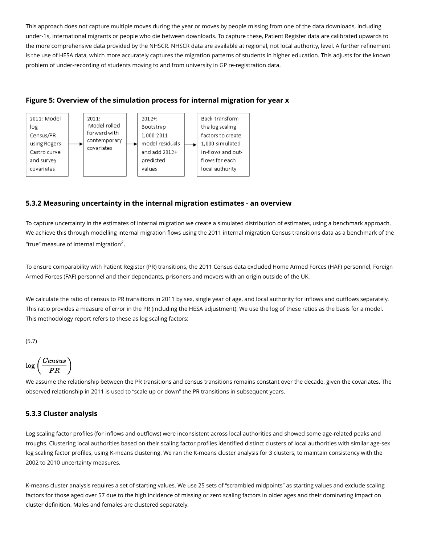This approach does not capture multiple moves during the year or moves by people missing from one of the data downloads, including under-1s, international migrants or people who die between downloads. To capture these, Patient Register data are calibrated upwards to the more comprehensive data provided by the NHSCR. NHSCR data are available at regional, not local authority, level. A further refinement is the use of HESA data, which more accurately captures the migration patterns of students in higher education. This adjusts for the known problem of under-recording of students moving to and from university in GP re-registration data.





## 5.3.2 Measuring uncertainty in the internal migration estimates - an overview

To capture uncertainty in the estimates of internal migration we create a simulated distribution of estimates, using a benchmark approach. We achieve this through modelling internal migration flows using the 2011 internal migration Census transitions data as a benchmark of the "true" measure of internal migration $2$ .

To ensure comparability with Patient Register (PR) transitions, the 2011 Census data excluded Home Armed Forces (HAF) personnel, Foreign Armed Forces (FAF) personnel and their dependants, prisoners and movers with an origin outside of the UK.

We calculate the ratio of census to PR transitions in 2011 by sex, single year of age, and local authority for inflows and outflows separately. This ratio provides a measure of error in the PR (including the HESA adjustment). We use the log of these ratios as the basis for a model. This methodology report refers to these as log scaling factors:

(5.7)



We assume the relationship between the PR transitions and census transitions remains constant over the decade, given the covariates. The observed relationship in 2011 is used to "scale up or down" the PR transitions in subsequent years.

## 5.3.3 Cluster analysis

Log scaling factor profiles (for inflows and outflows) were inconsistent across local authorities and showed some age-related peaks and troughs. Clustering local authorities based on their scaling factor profiles identified distinct clusters of local authorities with similar age-sex log scaling factor profiles, using K-means clustering. We ran the K-means cluster analysis for 3 clusters, to maintain consistency with the 2002 to 2010 uncertainty measures.

K-means cluster analysis requires a set of starting values. We use 25 sets of "scrambled midpoints" as starting values and exclude scaling factors for those aged over 57 due to the high incidence of missing or zero scaling factors in older ages and their dominating impact on cluster definition. Males and females are clustered separately.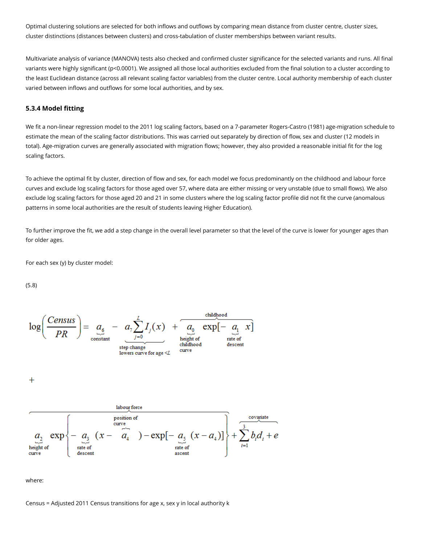Optimal clustering solutions are selected for both inflows and outflows by comparing mean distance from cluster centre, cluster sizes, cluster distinctions (distances between clusters) and cross-tabulation of cluster memberships between variant results.

Multivariate analysis of variance (MANOVA) tests also checked and confirmed cluster significance for the selected variants and runs. All final variants were highly significant (p<0.0001). We assigned all those local authorities excluded from the final solution to a cluster according to the least Euclidean distance (across all relevant scaling factor variables) from the cluster centre. Local authority membership of each cluster varied between inflows and outflows for some local authorities, and by sex.

#### 5.3.4 Model fitting

We fit a non-linear regression model to the 2011 log scaling factors, based on a 7-parameter Rogers-Castro (1981) age-migration schedule to estimate the mean of the scaling factor distributions. This was carried out separately by direction of flow, sex and cluster (12 models in total). Age-migration curves are generally associated with migration flows; however, they also provided a reasonable initial fit for the log scaling factors.

To achieve the optimal fit by cluster, direction of flow and sex, for each model we focus predominantly on the childhood and labour force curves and exclude log scaling factors for those aged over 57, where data are either missing or very unstable (due to small flows). We also exclude log scaling factors for those aged 20 and 21 in some clusters where the log scaling factor profile did not fit the curve (anomalous patterns in some local authorities are the result of students leaving Higher Education).

To further improve the fit, we add a step change in the overall level parameter so that the level of the curve is lower for younger ages than for older ages.

For each sex (y) by cluster model:

(5.8)

$$
\log\left(\frac{Census}{PR}\right) = a_6 - a_7 \sum_{\substack{j=0 \text{constant} \text{stight of } \text{triangle}}}^{L} I_j(x) + a_0 \exp\left[-a_1 x\right]
$$

 $\ddagger$ 



where:

Census = Adjusted 2011 Census transitions for age x, sex y in local authority k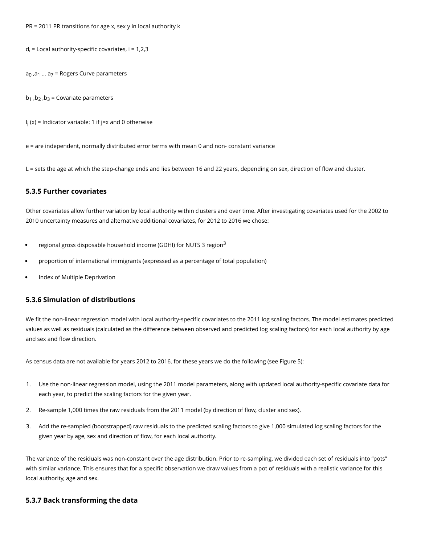PR = 2011 PR transitions for age x, sex y in local authority k

 $d_i$  = Local authority-specific covariates, i = 1,2,3

 $a_0$ , $a_1$  ...  $a_7$  = Rogers Curve parameters

 $b_1$ ,  $b_2$ ,  $b_3$  = Covariate parameters

I j (x) = Indicator variable: 1 if j=x and 0 otherwise

e = are independent, normally distributed error terms with mean 0 and non- constant variance

L = sets the age at which the step-change ends and lies between 16 and 22 years, depending on sex, direction of flow and cluster.

#### 5.3.5 Further covariates

Other covariates allow further variation by local authority within clusters and over time. After investigating covariates used for the 2002 to 2010 uncertainty measures and alternative additional covariates, for 2012 to 2016 we chose:

- regional gross disposable household income (GDHI) for NUTS 3 region<sup>3</sup>
- proportion of international immigrants (expressed as a percentage of total population)
- Index of Multiple Deprivation

### 5.3.6 Simulation of distributions

We fit the non-linear regression model with local authority-specific covariates to the 2011 log scaling factors. The model estimates predicted values as well as residuals (calculated as the difference between observed and predicted log scaling factors) for each local authority by age and sex and flow direction.

As census data are not available for years 2012 to 2016, for these years we do the following (see Figure 5):

- 1. Use the non-linear regression model, using the 2011 model parameters, along with updated local authority-specific covariate data for each year, to predict the scaling factors for the given year.
- 2. Re-sample 1,000 times the raw residuals from the 2011 model (by direction of flow, cluster and sex).
- 3. Add the re-sampled (bootstrapped) raw residuals to the predicted scaling factors to give 1,000 simulated log scaling factors for the given year by age, sex and direction of flow, for each local authority.

The variance of the residuals was non-constant over the age distribution. Prior to re-sampling, we divided each set of residuals into "pots" with similar variance. This ensures that for a specific observation we draw values from a pot of residuals with a realistic variance for this local authority, age and sex.

#### 5.3.7 Back transforming the data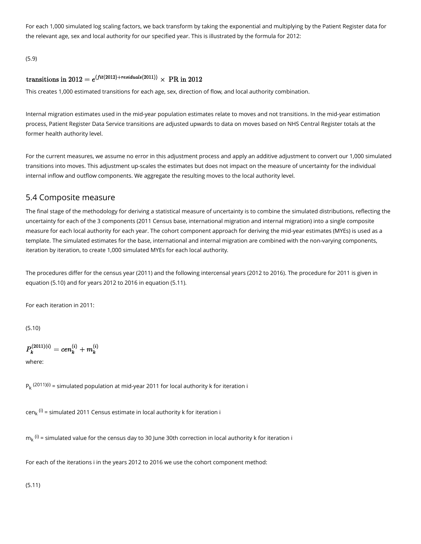For each 1,000 simulated log scaling factors, we back transform by taking the exponential and multiplying by the Patient Register data for the relevant age, sex and local authority for our specified year. This is illustrated by the formula for 2012:

(5.9)

## transitions in 2012 =  $e^{(fit(2012)+residuals(2011))} \times \text{PR}$  in 2012

This creates 1,000 estimated transitions for each age, sex, direction of flow, and local authority combination.

Internal migration estimates used in the mid-year population estimates relate to moves and not transitions. In the mid-year estimation process, Patient Register Data Service transitions are adjusted upwards to data on moves based on NHS Central Register totals at the former health authority level.

For the current measures, we assume no error in this adjustment process and apply an additive adjustment to convert our 1,000 simulated transitions into moves. This adjustment up-scales the estimates but does not impact on the measure of uncertainty for the individual internal inflow and outflow components. We aggregate the resulting moves to the local authority level.

## 5.4 Composite measure

The final stage of the methodology for deriving a statistical measure of uncertainty is to combine the simulated distributions, reflecting the uncertainty for each of the 3 components (2011 Census base, international migration and internal migration) into a single composite measure for each local authority for each year. The cohort component approach for deriving the mid-year estimates (MYEs) is used as a template. The simulated estimates for the base, international and internal migration are combined with the non-varying components, iteration by iteration, to create 1,000 simulated MYEs for each local authority.

The procedures differ for the census year (2011) and the following intercensal years (2012 to 2016). The procedure for 2011 is given in equation (5.10) and for years 2012 to 2016 in equation (5.11).

For each iteration in 2011:

(5.10)

 $P_{k}^{(2011)(i)}=cen^{(i)}_{k}+m^{(i)}_{k}$ 

where:

 $P_k$  <sup>(2011)(i)</sup> = simulated population at mid-year 2011 for local authority k for iteration i

cen<sub>k</sub> <sup>(i)</sup> = simulated 2011 Census estimate in local authority k for iteration i

 $m_k$   $^{(i)}$  = simulated value for the census day to 30 June 30th correction in local authority k for iteration i

For each of the iterations i in the years 2012 to 2016 we use the cohort component method:

(5.11)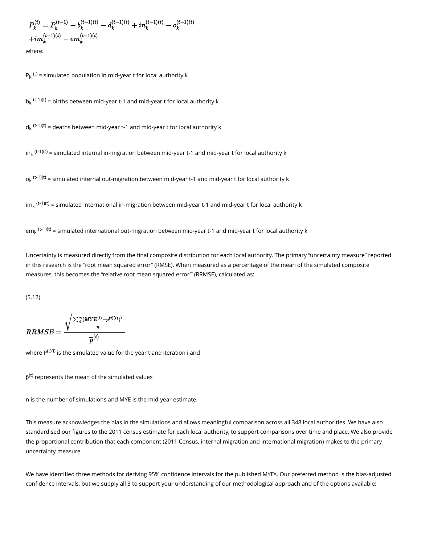$$
\begin{aligned} P_k^{(t)} & = P_k^{(t-1)} + b_k^{(t-1)(t)} - d_k^{(t-1)(t)} + in_k^{(t-1)(t)} - o_k^{(t-1)(t)} \\ & + im_k^{(t-1)(t)} - em_k^{(t-1)(t)} \end{aligned}
$$

where:

 $P_k$ <sup>(t)</sup> = simulated population in mid-year t for local authority k

 $b_k$ <sup>(t-1)(t)</sup> = births between mid-year t-1 and mid-year t for local authority k

 $d_k$ <sup>(t-1)(t)</sup> = deaths between mid-year t-1 and mid-year t for local authority k

in<sub>k</sub> <sup>(t-1)(t)</sup> = simulated internal in-migration between mid-year t-1 and mid-year t for local authority k

 $o_k$  <sup>(t-1)(t)</sup> = simulated internal out-migration between mid-year t-1 and mid-year t for local authority k

im<sub>k</sub> <sup>(t-1)(t)</sup> = simulated international in-migration between mid-year t-1 and mid-year t for local authority k

em $_{\rm k}$  <sup>(t-1)(t)</sup> = simulated international out-migration between mid-year t-1 and mid-year t for local authority k

Uncertainty is measured directly from the final composite distribution for each local authority. The primary "uncertainty measure" reported in this research is the "root mean squared error" (RMSE). When measured as a percentage of the mean of the simulated composite measures, this becomes the "relative root mean squared error'" (RRMSE), calculated as:

(5.12)

$$
RRMSE = \frac{\sqrt{\frac{\sum_i^n (MYE^{(t)} - p^{(t)(i)})^2}{n}}}{\overline{p}^{(t)}}
$$

where P $^{\text{(t)(i)}}$  is the simulated value for the year t and iteration i and

 $\bar{\mathsf{p}}^{\text{(t)}}$  represents the mean of the simulated values

n is the number of simulations and MYE is the mid-year estimate.

This measure acknowledges the bias in the simulations and allows meaningful comparison across all 348 local authorities. We have also standardised our figures to the 2011 census estimate for each local authority, to support comparisons over time and place. We also provide the proportional contribution that each component (2011 Census, internal migration and international migration) makes to the primary uncertainty measure.

We have identified three methods for deriving 95% confidence intervals for the published MYEs. Our preferred method is the bias-adjusted confidence intervals, but we supply all 3 to support your understanding of our methodological approach and of the options available: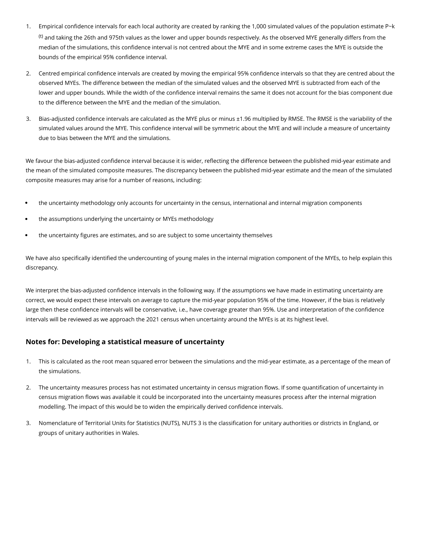- 1. Empirical confidence intervals for each local authority are created by ranking the 1,000 simulated values of the population estimate P~k  $<sup>(t)</sup>$  and taking the 26th and 975th values as the lower and upper bounds respectively. As the observed MYE generally differs from the</sup> median of the simulations, this confidence interval is not centred about the MYE and in some extreme cases the MYE is outside the bounds of the empirical 95% confidence interval.
- 2. Centred empirical confidence intervals are created by moving the empirical 95% confidence intervals so that they are centred about the observed MYEs. The difference between the median of the simulated values and the observed MYE is subtracted from each of the lower and upper bounds. While the width of the confidence interval remains the same it does not account for the bias component due to the difference between the MYE and the median of the simulation.
- 3. Bias-adjusted confidence intervals are calculated as the MYE plus or minus ±1.96 multiplied by RMSE. The RMSE is the variability of the simulated values around the MYE. This confidence interval will be symmetric about the MYE and will include a measure of uncertainty due to bias between the MYE and the simulations.

We favour the bias-adjusted confidence interval because it is wider, reflecting the difference between the published mid-year estimate and the mean of the simulated composite measures. The discrepancy between the published mid-year estimate and the mean of the simulated composite measures may arise for a number of reasons, including:

- the uncertainty methodology only accounts for uncertainty in the census, international and internal migration components
- the assumptions underlying the uncertainty or MYEs methodology
- the uncertainty figures are estimates, and so are subject to some uncertainty themselves

We have also specifically identified the undercounting of young males in the internal migration component of the MYEs, to help explain this discrepancy.

We interpret the bias-adjusted confidence intervals in the following way. If the assumptions we have made in estimating uncertainty are correct, we would expect these intervals on average to capture the mid-year population 95% of the time. However, if the bias is relatively large then these confidence intervals will be conservative, i.e., have coverage greater than 95%. Use and interpretation of the confidence intervals will be reviewed as we approach the 2021 census when uncertainty around the MYEs is at its highest level.

### Notes for: Developing a statistical measure of uncertainty

- 1. This is calculated as the root mean squared error between the simulations and the mid-year estimate, as a percentage of the mean of the simulations.
- 2. The uncertainty measures process has not estimated uncertainty in census migration flows. If some quantification of uncertainty in census migration flows was available it could be incorporated into the uncertainty measures process after the internal migration modelling. The impact of this would be to widen the empirically derived confidence intervals.
- 3. Nomenclature of Territorial Units for Statistics (NUTS), NUTS 3 is the classification for unitary authorities or districts in England, or groups of unitary authorities in Wales.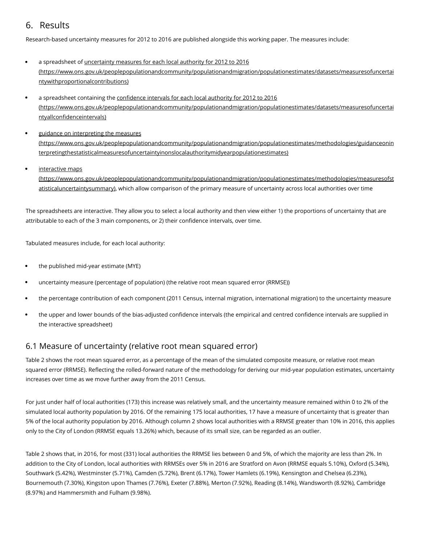## <span id="page-17-0"></span>6. Results

Research-based uncertainty measures for 2012 to 2016 are published alongside this working paper. The measures include:

- a spreadsheet of uncertainty measures for each local authority for 2012 to 2016 [\(https://www.ons.gov.uk/peoplepopulationandcommunity/populationandmigration/populationestimates/datasets/measuresofuncertai](https://www.ons.gov.uk/peoplepopulationandcommunity/populationandmigration/populationestimates/datasets/measuresofuncertaintywithproportionalcontributions) ntywithproportionalcontributions)
- a spreadsheet containing the confidence intervals for each local authority for 2012 to 2016 [\(https://www.ons.gov.uk/peoplepopulationandcommunity/populationandmigration/populationestimates/datasets/measuresofuncertai](https://www.ons.gov.uk/peoplepopulationandcommunity/populationandmigration/populationestimates/datasets/measuresofuncertaintyallconfidenceintervals) ntyallconfidenceintervals)
- guidance on interpreting the measures [\(https://www.ons.gov.uk/peoplepopulationandcommunity/populationandmigration/populationestimates/methodologies/guidanceonin](https://www.ons.gov.uk/peoplepopulationandcommunity/populationandmigration/populationestimates/methodologies/guidanceoninterpretingthestatisticalmeasuresofuncertaintyinonslocalauthoritymidyearpopulationestimates) terpretingthestatisticalmeasuresofuncertaintyinonslocalauthoritymidyearpopulationestimates)
- interactive maps [\(https://www.ons.gov.uk/peoplepopulationandcommunity/populationandmigration/populationestimates/methodologies/measuresofst](https://www.ons.gov.uk/peoplepopulationandcommunity/populationandmigration/populationestimates/methodologies/measuresofstatisticaluncertaintysummary) atisticaluncertaintysummary), which allow comparison of the primary measure of uncertainty across local authorities over time

The spreadsheets are interactive. They allow you to select a local authority and then view either 1) the proportions of uncertainty that are attributable to each of the 3 main components, or 2) their confidence intervals, over time.

Tabulated measures include, for each local authority:

- the published mid-year estimate (MYE)
- uncertainty measure (percentage of population) (the relative root mean squared error (RRMSE))
- the percentage contribution of each component (2011 Census, internal migration, international migration) to the uncertainty measure
- the upper and lower bounds of the bias-adjusted confidence intervals (the empirical and centred confidence intervals are supplied in the interactive spreadsheet)

## 6.1 Measure of uncertainty (relative root mean squared error)

Table 2 shows the root mean squared error, as a percentage of the mean of the simulated composite measure, or relative root mean squared error (RRMSE). Reflecting the rolled-forward nature of the methodology for deriving our mid-year population estimates, uncertainty increases over time as we move further away from the 2011 Census.

For just under half of local authorities (173) this increase was relatively small, and the uncertainty measure remained within 0 to 2% of the simulated local authority population by 2016. Of the remaining 175 local authorities, 17 have a measure of uncertainty that is greater than 5% of the local authority population by 2016. Although column 2 shows local authorities with a RRMSE greater than 10% in 2016, this applies only to the City of London (RRMSE equals 13.26%) which, because of its small size, can be regarded as an outlier.

Table 2 shows that, in 2016, for most (331) local authorities the RRMSE lies between 0 and 5%, of which the majority are less than 2%. In addition to the City of London, local authorities with RRMSEs over 5% in 2016 are Stratford on Avon (RRMSE equals 5.10%), Oxford (5.34%), Southwark (5.42%), Westminster (5.71%), Camden (5.72%), Brent (6.17%), Tower Hamlets (6.19%), Kensington and Chelsea (6.23%), Bournemouth (7.30%), Kingston upon Thames (7.76%), Exeter (7.88%), Merton (7.92%), Reading (8.14%), Wandsworth (8.92%), Cambridge (8.97%) and Hammersmith and Fulham (9.98%).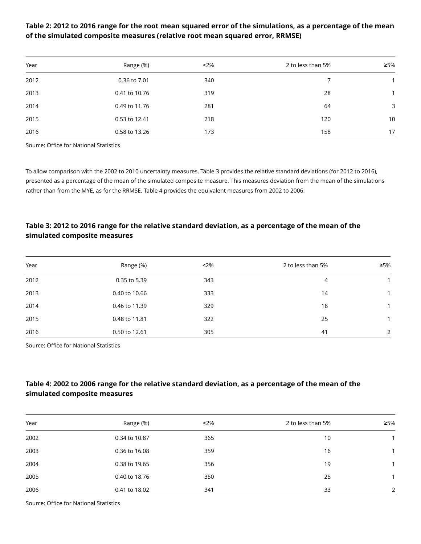## Table 2: 2012 to 2016 range for the root mean squared error of the simulations, as a percentage of the mean of the simulated composite measures (relative root mean squared error, RRMSE)

| Year | Range (%)     | 2%  | 2 to less than 5% | ≥5% |
|------|---------------|-----|-------------------|-----|
| 2012 | 0.36 to 7.01  | 340 | 7                 |     |
| 2013 | 0.41 to 10.76 | 319 | 28                |     |
| 2014 | 0.49 to 11.76 | 281 | 64                | 3   |
| 2015 | 0.53 to 12.41 | 218 | 120               | 10  |
| 2016 | 0.58 to 13.26 | 173 | 158               | 17  |

Source: Office for National Statistics

To allow comparison with the 2002 to 2010 uncertainty measures, Table 3 provides the relative standard deviations (for 2012 to 2016), presented as a percentage of the mean of the simulated composite measure. This measures deviation from the mean of the simulations rather than from the MYE, as for the RRMSE. Table 4 provides the equivalent measures from 2002 to 2006.

## Table 3: 2012 to 2016 range for the relative standard deviation, as a percentage of the mean of the simulated composite measures

| Year | Range (%)     | $2\%$ | 2 to less than 5% | ≥5%            |
|------|---------------|-------|-------------------|----------------|
| 2012 | 0.35 to 5.39  | 343   | 4                 |                |
| 2013 | 0.40 to 10.66 | 333   | 14                |                |
| 2014 | 0.46 to 11.39 | 329   | 18                |                |
| 2015 | 0.48 to 11.81 | 322   | 25                |                |
| 2016 | 0.50 to 12.61 | 305   | 41                | $\overline{2}$ |

Source: Office for National Statistics

## Table 4: 2002 to 2006 range for the relative standard deviation, as a percentage of the mean of the simulated composite measures

| Year | Range (%)     | $2\%$ | 2 to less than 5% | ≥5% |
|------|---------------|-------|-------------------|-----|
| 2002 | 0.34 to 10.87 | 365   | 10                |     |
| 2003 | 0.36 to 16.08 | 359   | 16                |     |
| 2004 | 0.38 to 19.65 | 356   | 19                |     |
| 2005 | 0.40 to 18.76 | 350   | 25                |     |
| 2006 | 0.41 to 18.02 | 341   | 33                | 2   |

Source: Office for National Statistics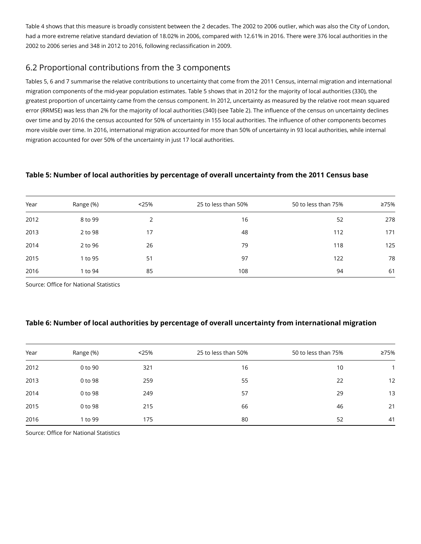Table 4 shows that this measure is broadly consistent between the 2 decades. The 2002 to 2006 outlier, which was also the City of London, had a more extreme relative standard deviation of 18.02% in 2006, compared with 12.61% in 2016. There were 376 local authorities in the 2002 to 2006 series and 348 in 2012 to 2016, following reclassification in 2009.

## 6.2 Proportional contributions from the 3 components

Tables 5, 6 and 7 summarise the relative contributions to uncertainty that come from the 2011 Census, internal migration and international migration components of the mid-year population estimates. Table 5 shows that in 2012 for the majority of local authorities (330), the greatest proportion of uncertainty came from the census component. In 2012, uncertainty as measured by the relative root mean squared error (RRMSE) was less than 2% for the majority of local authorities (340) (see Table 2). The influence of the census on uncertainty declines over time and by 2016 the census accounted for 50% of uncertainty in 155 local authorities. The influence of other components becomes more visible over time. In 2016, international migration accounted for more than 50% of uncertainty in 93 local authorities, while internal migration accounted for over 50% of the uncertainty in just 17 local authorities.

## Table 5: Number of local authorities by percentage of overall uncertainty from the 2011 Census base

| Year | Range (%) | < 25% | 25 to less than 50% | 50 to less than 75% | ≥75% |
|------|-----------|-------|---------------------|---------------------|------|
| 2012 | 8 to 99   |       | 16                  | 52                  | 278  |
| 2013 | 2 to 98   | 17    | 48                  | 112                 | 171  |
| 2014 | 2 to 96   | 26    | 79                  | 118                 | 125  |
| 2015 | 1 to 95   | 51    | 97                  | 122                 | 78   |
| 2016 | 1 to 94   | 85    | 108                 | 94                  | 61   |

Source: Office for National Statistics

## Table 6: Number of local authorities by percentage of overall uncertainty from international migration

| Year | Range (%) | < 25% | 25 to less than 50% | 50 to less than 75% | ≥75% |
|------|-----------|-------|---------------------|---------------------|------|
| 2012 | 0 to 90   | 321   | 16                  | 10                  |      |
| 2013 | 0 to 98   | 259   | 55                  | 22                  | 12   |
| 2014 | 0 to 98   | 249   | 57                  | 29                  | 13   |
| 2015 | 0 to 98   | 215   | 66                  | 46                  | 21   |
| 2016 | 1 to 99   | 175   | 80                  | 52                  | 41   |

Source: Office for National Statistics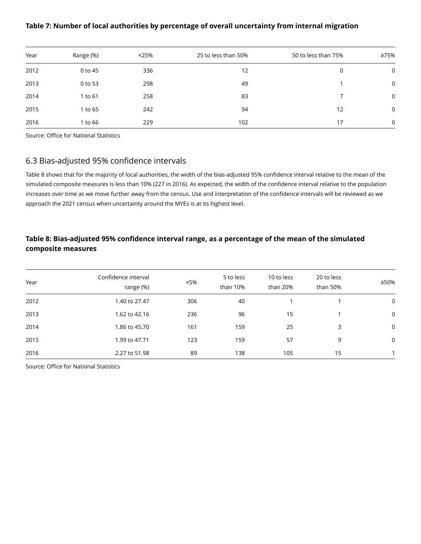### Table 7: Number of local authorities by percentage of overall uncertainty from internal migration

| Year | Range (%) | < 25% | 25 to less than 50% | 50 to less than 75% | ≥75%        |
|------|-----------|-------|---------------------|---------------------|-------------|
| 2012 | 0 to 45   | 336   | 12                  | 0                   | $\mathbf 0$ |
| 2013 | 0 to 53   | 298   | 49                  |                     | $\mathbf 0$ |
| 2014 | 1 to 61   | 258   | 83                  |                     | $\mathbf 0$ |
| 2015 | 1 to 65   | 242   | 94                  | 12                  | $\mathbf 0$ |
| 2016 | 1 to 66   | 229   | 102                 | 17                  | $\mathbf 0$ |

Source: Office for National Statistics

## 6.3 Bias-adjusted 95% confidence intervals

Table 8 shows that for the majority of local authorities, the width of the bias-adjusted 95% confidence interval relative to the mean of the simulated composite measures is less than 10% (227 in 2016). As expected, the width of the confidence interval relative to the population increases over time as we move further away from the census. Use and interpretation of the confidence intervals will be reviewed as we approach the 2021 census when uncertainty around the MYEs is at its highest level.

## Table 8: Bias-adjusted 95% confidence interval range, as a percentage of the mean of the simulated composite measures

| Year | Confidence interval<br>range (%) | <5% | 5 to less<br>than 10% | 10 to less<br>than 20% | 20 to less<br>than 50% | ≥50%        |
|------|----------------------------------|-----|-----------------------|------------------------|------------------------|-------------|
| 2012 | 1.40 to 27.47                    | 306 | 40                    |                        |                        | $\mathbf 0$ |
| 2013 | 1.62 to 42.16                    | 236 | 96                    | 15                     |                        | $\mathbf 0$ |
| 2014 | 1.86 to 45.70                    | 161 | 159                   | 25                     | 3                      | $\mathbf 0$ |
| 2015 | 1.99 to 47.71                    | 123 | 159                   | 57                     | 9                      | $\mathbf 0$ |
| 2016 | 2.27 to 51.98                    | 89  | 138                   | 105                    | 15                     |             |

Source: Office for National Statistics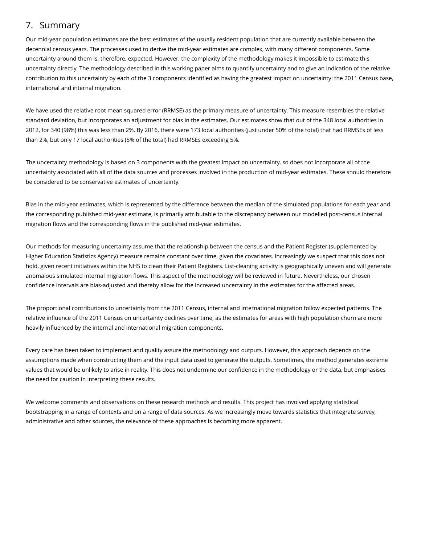## <span id="page-21-0"></span>7. Summary

Our mid-year population estimates are the best estimates of the usually resident population that are currently available between the decennial census years. The processes used to derive the mid-year estimates are complex, with many different components. Some uncertainty around them is, therefore, expected. However, the complexity of the methodology makes it impossible to estimate this uncertainty directly. The methodology described in this working paper aims to quantify uncertainty and to give an indication of the relative contribution to this uncertainty by each of the 3 components identified as having the greatest impact on uncertainty: the 2011 Census base, international and internal migration.

We have used the relative root mean squared error (RRMSE) as the primary measure of uncertainty. This measure resembles the relative standard deviation, but incorporates an adjustment for bias in the estimates. Our estimates show that out of the 348 local authorities in 2012, for 340 (98%) this was less than 2%. By 2016, there were 173 local authorities (just under 50% of the total) that had RRMSEs of less than 2%, but only 17 local authorities (5% of the total) had RRMSEs exceeding 5%.

The uncertainty methodology is based on 3 components with the greatest impact on uncertainty, so does not incorporate all of the uncertainty associated with all of the data sources and processes involved in the production of mid-year estimates. These should therefore be considered to be conservative estimates of uncertainty.

Bias in the mid-year estimates, which is represented by the difference between the median of the simulated populations for each year and the corresponding published mid-year estimate, is primarily attributable to the discrepancy between our modelled post-census internal migration flows and the corresponding flows in the published mid-year estimates.

Our methods for measuring uncertainty assume that the relationship between the census and the Patient Register (supplemented by Higher Education Statistics Agency) measure remains constant over time, given the covariates. Increasingly we suspect that this does not hold, given recent initiatives within the NHS to clean their Patient Registers. List-cleaning activity is geographically uneven and will generate anomalous simulated internal migration flows. This aspect of the methodology will be reviewed in future. Nevertheless, our chosen confidence intervals are bias-adjusted and thereby allow for the increased uncertainty in the estimates for the affected areas.

The proportional contributions to uncertainty from the 2011 Census, internal and international migration follow expected patterns. The relative influence of the 2011 Census on uncertainty declines over time, as the estimates for areas with high population churn are more heavily influenced by the internal and international migration components.

Every care has been taken to implement and quality assure the methodology and outputs. However, this approach depends on the assumptions made when constructing them and the input data used to generate the outputs. Sometimes, the method generates extreme values that would be unlikely to arise in reality. This does not undermine our confidence in the methodology or the data, but emphasises the need for caution in interpreting these results.

We welcome comments and observations on these research methods and results. This project has involved applying statistical bootstrapping in a range of contexts and on a range of data sources. As we increasingly move towards statistics that integrate survey, administrative and other sources, the relevance of these approaches is becoming more apparent.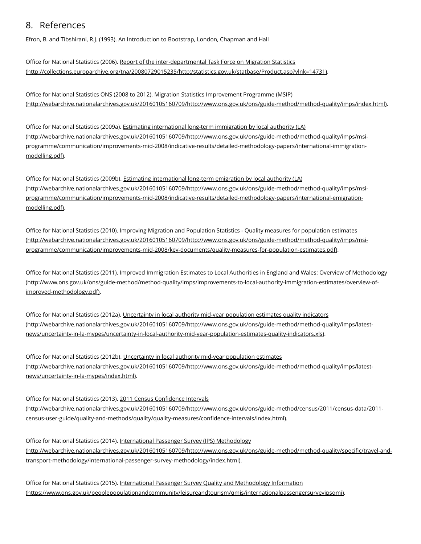## <span id="page-22-0"></span>8. References

Efron, B. and Tibshirani, R.J. (1993). An Introduction to Bootstrap, London, Chapman and Hall

Office for National Statistics (2006). Report of the inter-departmental Task Force on Migration Statistics [\(http://collections.europarchive.org/tna/20080729015235/http:/statistics.gov.uk/statbase/Product.asp?vlnk=14731\)](http://collections.europarchive.org/tna/20080729015235/http:/statistics.gov.uk/statbase/Product.asp?vlnk=14731).

Office for National Statistics ONS (2008 to 2012). Migration Statistics Improvement Programme (MSIP) [\(http://webarchive.nationalarchives.gov.uk/20160105160709/http://www.ons.gov.uk/ons/guide-method/method-quality/imps/index.html\)](http://webarchive.nationalarchives.gov.uk/20160105160709/http://www.ons.gov.uk/ons/guide-method/method-quality/imps/index.html).

Office for National Statistics (2009a). Estimating international long-term immigration by local authority (LA) [\(http://webarchive.nationalarchives.gov.uk/20160105160709/http://www.ons.gov.uk/ons/guide-method/method-quality/imps/msi](http://webarchive.nationalarchives.gov.uk/20160105160709/http://www.ons.gov.uk/ons/guide-method/method-quality/imps/msi-programme/communication/improvements-mid-2008/indicative-results/detailed-methodology-papers/international-immigration-modelling.pdf)programme/communication/improvements-mid-2008/indicative-results/detailed-methodology-papers/international-immigrationmodelling.pdf).

Office for National Statistics (2009b). Estimating international long-term emigration by local authority (LA) [\(http://webarchive.nationalarchives.gov.uk/20160105160709/http://www.ons.gov.uk/ons/guide-method/method-quality/imps/msi](http://webarchive.nationalarchives.gov.uk/20160105160709/http://www.ons.gov.uk/ons/guide-method/method-quality/imps/msi-programme/communication/improvements-mid-2008/indicative-results/detailed-methodology-papers/international-emigration-modelling.pdf)programme/communication/improvements-mid-2008/indicative-results/detailed-methodology-papers/international-emigrationmodelling.pdf).

Office for National Statistics (2010). Improving Migration and Population Statistics - Quality measures for population estimates [\(http://webarchive.nationalarchives.gov.uk/20160105160709/http://www.ons.gov.uk/ons/guide-method/method-quality/imps/msi](http://webarchive.nationalarchives.gov.uk/20160105160709/http://www.ons.gov.uk/ons/guide-method/method-quality/imps/msi-programme/communication/improvements-mid-2008/key-documents/quality-measures-for-population-estimates.pdf)programme/communication/improvements-mid-2008/key-documents/quality-measures-for-population-estimates.pdf).

Office for National Statistics (2011). Improved Immigration Estimates to Local Authorities in England and Wales: Overview of Methodology [\(http://www.ons.gov.uk/ons/guide-method/method-quality/imps/improvements-to-local-authority-immigration-estimates/overview-of](http://www.ons.gov.uk/ons/guide-method/method-quality/imps/improvements-to-local-authority-immigration-estimates/overview-of-improved-methodology.pdf)improved-methodology.pdf).

Office for National Statistics (2012a). Uncertainty in local authority mid-year population estimates quality indicators [\(http://webarchive.nationalarchives.gov.uk/20160105160709/http://www.ons.gov.uk/ons/guide-method/method-quality/imps/latest](http://webarchive.nationalarchives.gov.uk/20160105160709/http://www.ons.gov.uk/ons/guide-method/method-quality/imps/latest-news/uncertainty-in-la-mypes/uncertainty-in-local-authority-mid-year-population-estimates-quality-indicators.xls)news/uncertainty-in-la-mypes/uncertainty-in-local-authority-mid-year-population-estimates-quality-indicators.xls).

Office for National Statistics (2012b). Uncertainty in local authority mid-year population estimates [\(http://webarchive.nationalarchives.gov.uk/20160105160709/http://www.ons.gov.uk/ons/guide-method/method-quality/imps/latest](http://webarchive.nationalarchives.gov.uk/20160105160709/http://www.ons.gov.uk/ons/guide-method/method-quality/imps/latest-news/uncertainty-in-la-mypes/index.html)news/uncertainty-in-la-mypes/index.html).

Office for National Statistics (2013). 2011 Census Confidence Intervals [\(http://webarchive.nationalarchives.gov.uk/20160105160709/http://www.ons.gov.uk/ons/guide-method/census/2011/census-data/2011](http://webarchive.nationalarchives.gov.uk/20160105160709/http://www.ons.gov.uk/ons/guide-method/census/2011/census-data/2011-census-user-guide/quality-and-methods/quality/quality-measures/confidence-intervals/index.html) census-user-guide/quality-and-methods/quality/quality-measures/confidence-intervals/index.html).

Office for National Statistics (2014). International Passenger Survey (IPS) Methodology [\(http://webarchive.nationalarchives.gov.uk/20160105160709/http://www.ons.gov.uk/ons/guide-method/method-quality/specific/travel-and](http://webarchive.nationalarchives.gov.uk/20160105160709/http://www.ons.gov.uk/ons/guide-method/method-quality/specific/travel-and-transport-methodology/international-passenger-survey-methodology/index.html)transport-methodology/international-passenger-survey-methodology/index.html).

Office for National Statistics (2015). International Passenger Survey Quality and Methodology Information [\(https://www.ons.gov.uk/peoplepopulationandcommunity/leisureandtourism/qmis/internationalpassengersurveyipsqmi\)](https://www.ons.gov.uk/peoplepopulationandcommunity/leisureandtourism/qmis/internationalpassengersurveyipsqmi).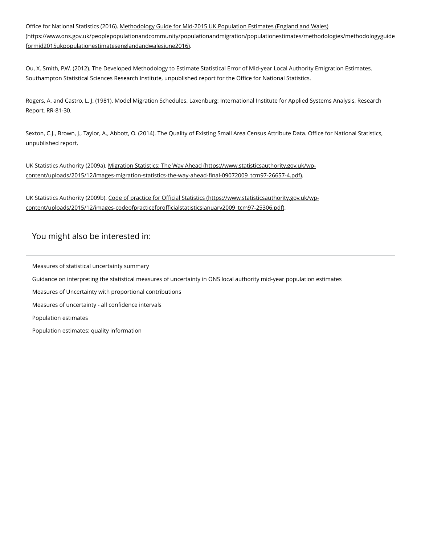Office for National Statistics (2016). Methodology Guide for Mid-2015 UK Population Estimates (England and Wales) [\(https://www.ons.gov.uk/peoplepopulationandcommunity/populationandmigration/populationestimates/methodologies/methodologyguide](https://www.ons.gov.uk/peoplepopulationandcommunity/populationandmigration/populationestimates/methodologies/methodologyguideformid2015ukpopulationestimatesenglandandwalesjune2016) formid2015ukpopulationestimatesenglandandwalesjune2016).

Ou, X. Smith, P.W. (2012). The Developed Methodology to Estimate Statistical Error of Mid-year Local Authority Emigration Estimates. Southampton Statistical Sciences Research Institute, unpublished report for the Office for National Statistics.

Rogers, A. and Castro, L. J. (1981). Model Migration Schedules. Laxenburg: International Institute for Applied Systems Analysis, Research Report, RR-81-30.

Sexton, C.J., Brown, J., Taylor, A., Abbott, O. (2014). The Quality of Existing Small Area Census Attribute Data. Office for National Statistics, unpublished report.

UK Statistics Authority (2009a). Migration Statistics: The Way Ahead (https://www.statisticsauthority.gov.uk/wp[content/uploads/2015/12/images-migration-statistics-the-way-ahead-final-09072009\\_tcm97-26657-4.pdf\).](https://www.statisticsauthority.gov.uk/wp-content/uploads/2015/12/images-migration-statistics-the-way-ahead-final-09072009_tcm97-26657-4.pdf)

UK Statistics Authority (2009b). Code of practice for Official Statistics (https://www.statisticsauthority.gov.uk/wp[content/uploads/2015/12/images-codeofpracticeforofficialstatisticsjanuary2009\\_tcm97-25306.pdf\).](https://www.statisticsauthority.gov.uk/wp-content/uploads/2015/12/images-codeofpracticeforofficialstatisticsjanuary2009_tcm97-25306.pdf)

## You might also be interested in:

Measures of statistical [uncertainty](https://www.ons.gov.uk/peoplepopulationandcommunity/populationandmigration/populationestimates/methodologies/measuresofstatisticaluncertaintysummary) summary Guidance on [interpreting](https://www.ons.gov.uk/peoplepopulationandcommunity/populationandmigration/populationestimates/methodologies/guidanceoninterpretingthestatisticalmeasuresofuncertaintyinonslocalauthoritymidyearpopulationestimates) the statistical measures of uncertainty in ONS local authority mid-year population estimates Measures of Uncertainty with proportional [contributions](https://www.ons.gov.uk/peoplepopulationandcommunity/populationandmigration/populationestimates/datasets/measuresofuncertaintywithproportionalcontributions) Measures of [uncertainty](https://www.ons.gov.uk/peoplepopulationandcommunity/populationandmigration/populationestimates/datasets/measuresofuncertaintyallconfidenceintervals) - all confidence intervals [Population](https://www.ons.gov.uk/peoplepopulationandcommunity/populationandmigration/populationestimates) estimates Population estimates: quality [information](https://www.ons.gov.uk/peoplepopulationandcommunity/populationandmigration/populationestimates/datasets/populationestimatesqualitytools)